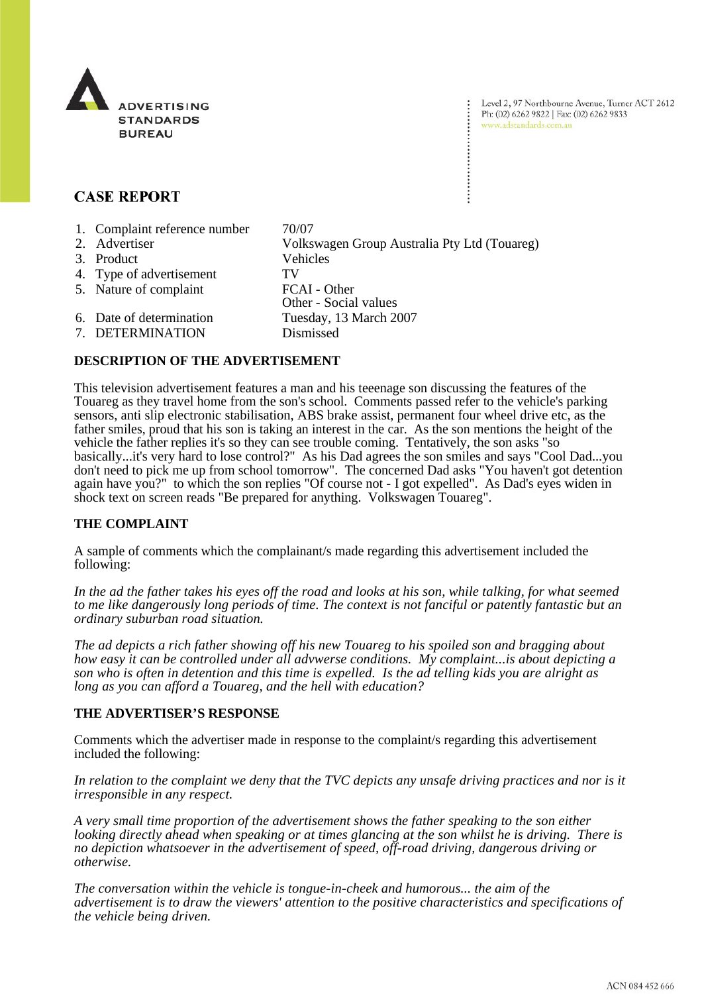

Level 2, 97 Northbourne Avenue, Turner ACT 2612 Ph: (02) 6262 9822 | Fax: (02) 6262 9833 www.adstandards.com.au

# **CASE REPORT**

1. Complaint reference number 70/07 2. Advertiser Volkswagen Group Australia Pty Ltd (Touareg) 3. Product Vehicles 4. Type of advertisement TV 5. Nature of complaint FCAI - Other Other - Social values 6. Date of determination Tuesday, 13 March 2007 7. DETERMINATION Dismissed

# **DESCRIPTION OF THE ADVERTISEMENT**

This television advertisement features a man and his teeenage son discussing the features of the Touareg as they travel home from the son's school. Comments passed refer to the vehicle's parking sensors, anti slip electronic stabilisation, ABS brake assist, permanent four wheel drive etc, as the father smiles, proud that his son is taking an interest in the car. As the son mentions the height of the vehicle the father replies it's so they can see trouble coming. Tentatively, the son asks "so basically...it's very hard to lose control?" As his Dad agrees the son smiles and says "Cool Dad...you don't need to pick me up from school tomorrow". The concerned Dad asks "You haven't got detention again have you?" to which the son replies "Of course not - I got expelled". As Dad's eyes widen in shock text on screen reads "Be prepared for anything. Volkswagen Touareg".

### **THE COMPLAINT**

A sample of comments which the complainant/s made regarding this advertisement included the following:

*In the ad the father takes his eyes off the road and looks at his son, while talking, for what seemed to me like dangerously long periods of time. The context is not fanciful or patently fantastic but an ordinary suburban road situation.* 

*The ad depicts a rich father showing off his new Touareg to his spoiled son and bragging about how easy it can be controlled under all advwerse conditions. My complaint...is about depicting a son who is often in detention and this time is expelled. Is the ad telling kids you are alright as long as you can afford a Touareg, and the hell with education?*

### **THE ADVERTISER'S RESPONSE**

Comments which the advertiser made in response to the complaint/s regarding this advertisement included the following:

*In relation to the complaint we deny that the TVC depicts any unsafe driving practices and nor is it irresponsible in any respect.*

*A very small time proportion of the advertisement shows the father speaking to the son either looking directly ahead when speaking or at times glancing at the son whilst he is driving. There is no depiction whatsoever in the advertisement of speed, off-road driving, dangerous driving or otherwise.*

*The conversation within the vehicle is tongue-in-cheek and humorous... the aim of the advertisement is to draw the viewers' attention to the positive characteristics and specifications of the vehicle being driven.*